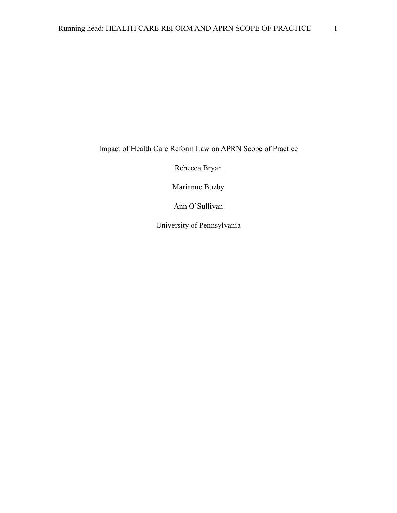Impact of Health Care Reform Law on APRN Scope of Practice

Rebecca Bryan

Marianne Buzby

Ann O'Sullivan

University of Pennsylvania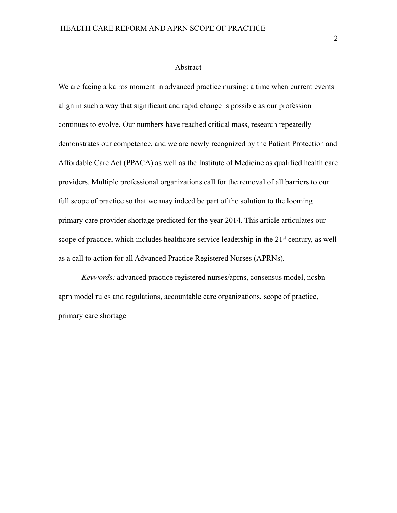#### Abstract

We are facing a kairos moment in advanced practice nursing: a time when current events align in such a way that significant and rapid change is possible as our profession continues to evolve. Our numbers have reached critical mass, research repeatedly demonstrates our competence, and we are newly recognized by the Patient Protection and Affordable Care Act (PPACA) as well as the Institute of Medicine as qualified health care providers. Multiple professional organizations call for the removal of all barriers to our full scope of practice so that we may indeed be part of the solution to the looming primary care provider shortage predicted for the year 2014. This article articulates our scope of practice, which includes healthcare service leadership in the 21<sup>st</sup> century, as well as a call to action for all Advanced Practice Registered Nurses (APRNs).

*Keywords:* advanced practice registered nurses/aprns, consensus model, ncsbn aprn model rules and regulations, accountable care organizations, scope of practice, primary care shortage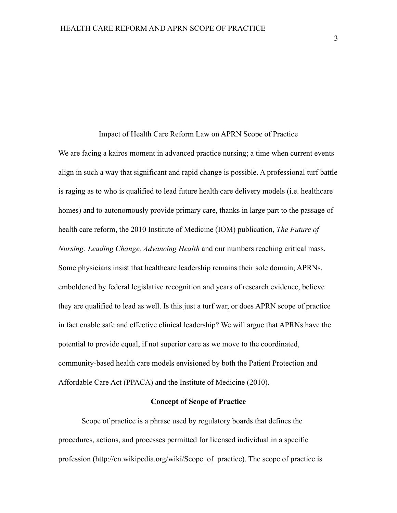#### Impact of Health Care Reform Law on APRN Scope of Practice

We are facing a kairos moment in advanced practice nursing; a time when current events align in such a way that significant and rapid change is possible. A professional turf battle is raging as to who is qualified to lead future health care delivery models (i.e. healthcare homes) and to autonomously provide primary care, thanks in large part to the passage of health care reform, the 2010 Institute of Medicine (IOM) publication, *The Future of Nursing: Leading Change, Advancing Health* and our numbers reaching critical mass. Some physicians insist that healthcare leadership remains their sole domain; APRNs, emboldened by federal legislative recognition and years of research evidence, believe they are qualified to lead as well. Is this just a turf war, or does APRN scope of practice in fact enable safe and effective clinical leadership? We will argue that APRNs have the potential to provide equal, if not superior care as we move to the coordinated, community-based health care models envisioned by both the Patient Protection and Affordable Care Act (PPACA) and the Institute of Medicine (2010).

#### **Concept of Scope of Practice**

Scope of practice is a phrase used by regulatory boards that defines the procedures, actions, and processes permitted for licensed individual in a specific profession (http://en.wikipedia.org/wiki/Scope\_of\_practice). The scope of practice is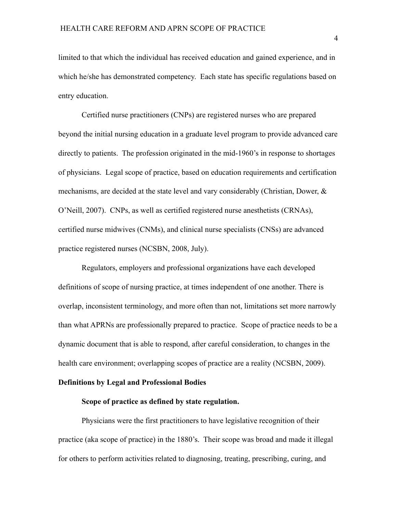limited to that which the individual has received education and gained experience, and in which he/she has demonstrated competency. Each state has specific regulations based on entry education.

Certified nurse practitioners (CNPs) are registered nurses who are prepared beyond the initial nursing education in a graduate level program to provide advanced care directly to patients. The profession originated in the mid-1960's in response to shortages of physicians. Legal scope of practice, based on education requirements and certification mechanisms, are decided at the state level and vary considerably (Christian, Dower, & O'Neill, 2007). CNPs, as well as certified registered nurse anesthetists (CRNAs), certified nurse midwives (CNMs), and clinical nurse specialists (CNSs) are advanced practice registered nurses (NCSBN, 2008, July).

Regulators, employers and professional organizations have each developed definitions of scope of nursing practice, at times independent of one another. There is overlap, inconsistent terminology, and more often than not, limitations set more narrowly than what APRNs are professionally prepared to practice. Scope of practice needs to be a dynamic document that is able to respond, after careful consideration, to changes in the health care environment; overlapping scopes of practice are a reality (NCSBN, 2009).

### **Definitions by Legal and Professional Bodies**

#### **Scope of practice as defined by state regulation.**

Physicians were the first practitioners to have legislative recognition of their practice (aka scope of practice) in the 1880's. Their scope was broad and made it illegal for others to perform activities related to diagnosing, treating, prescribing, curing, and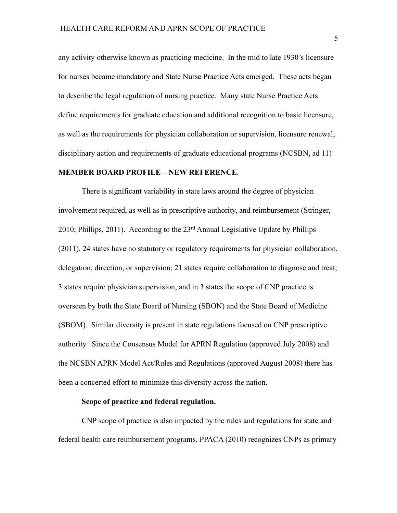any activity otherwise known as practicing medicine. In the mid to late 1930's licensure for nurses became mandatory and State Nurse Practice Acts emerged. These acts began to describe the legal regulation of nursing practice. Many state Nurse Practice Acts define requirements for graduate education and additional recognition to basic licensure, as well as the requirements for physician collaboration or supervision, licensure renewal, disciplinary action and requirements of graduate educational programs (NCSBN, ad 11)

## **MEMBER BOARD PROFILE – NEW REFERENCE**.

There is significant variability in state laws around the degree of physician involvement required, as well as in prescriptive authority, and reimbursement (Stringer, 2010; Phillips, 2011). According to the 23rd Annual Legislative Update by Phillips (2011), 24 states have no statutory or regulatory requirements for physician collaboration, delegation, direction, or supervision; 21 states require collaboration to diagnose and treat; 3 states require physician supervision, and in 3 states the scope of CNP practice is overseen by both the State Board of Nursing (SBON) and the State Board of Medicine (SBOM). Similar diversity is present in state regulations focused on CNP prescriptive authority. Since the Consensus Model for APRN Regulation (approved July 2008) and the NCSBN APRN Model Act/Rules and Regulations (approved August 2008) there has been a concerted effort to minimize this diversity across the nation.

## **Scope of practice and federal regulation.**

CNP scope of practice is also impacted by the rules and regulations for state and federal health care reimbursement programs. PPACA (2010) recognizes CNPs as primary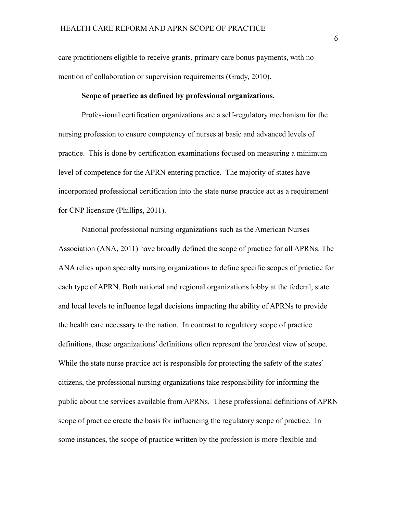care practitioners eligible to receive grants, primary care bonus payments, with no mention of collaboration or supervision requirements (Grady, 2010).

## **Scope of practice as defined by professional organizations.**

Professional certification organizations are a self-regulatory mechanism for the nursing profession to ensure competency of nurses at basic and advanced levels of practice. This is done by certification examinations focused on measuring a minimum level of competence for the APRN entering practice. The majority of states have incorporated professional certification into the state nurse practice act as a requirement for CNP licensure (Phillips, 2011).

National professional nursing organizations such as the American Nurses Association (ANA, 2011) have broadly defined the scope of practice for all APRNs. The ANA relies upon specialty nursing organizations to define specific scopes of practice for each type of APRN. Both national and regional organizations lobby at the federal, state and local levels to influence legal decisions impacting the ability of APRNs to provide the health care necessary to the nation. In contrast to regulatory scope of practice definitions, these organizations' definitions often represent the broadest view of scope. While the state nurse practice act is responsible for protecting the safety of the states' citizens, the professional nursing organizations take responsibility for informing the public about the services available from APRNs. These professional definitions of APRN scope of practice create the basis for influencing the regulatory scope of practice. In some instances, the scope of practice written by the profession is more flexible and

 $\sim$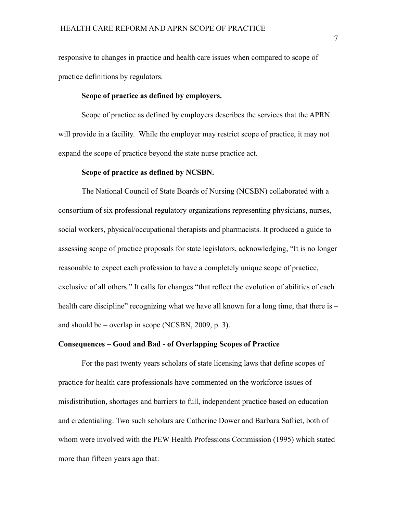responsive to changes in practice and health care issues when compared to scope of practice definitions by regulators.

## **Scope of practice as defined by employers.**

Scope of practice as defined by employers describes the services that the APRN will provide in a facility. While the employer may restrict scope of practice, it may not expand the scope of practice beyond the state nurse practice act.

## **Scope of practice as defined by NCSBN.**

The National Council of State Boards of Nursing (NCSBN) collaborated with a consortium of six professional regulatory organizations representing physicians, nurses, social workers, physical/occupational therapists and pharmacists. It produced a guide to assessing scope of practice proposals for state legislators, acknowledging, "It is no longer reasonable to expect each profession to have a completely unique scope of practice, exclusive of all others." It calls for changes "that reflect the evolution of abilities of each health care discipline" recognizing what we have all known for a long time, that there is – and should be – overlap in scope (NCSBN, 2009, p. 3).

#### **Consequences – Good and Bad - of Overlapping Scopes of Practice**

For the past twenty years scholars of state licensing laws that define scopes of practice for health care professionals have commented on the workforce issues of misdistribution, shortages and barriers to full, independent practice based on education and credentialing. Two such scholars are Catherine Dower and Barbara Safriet, both of whom were involved with the PEW Health Professions Commission (1995) which stated more than fifteen years ago that: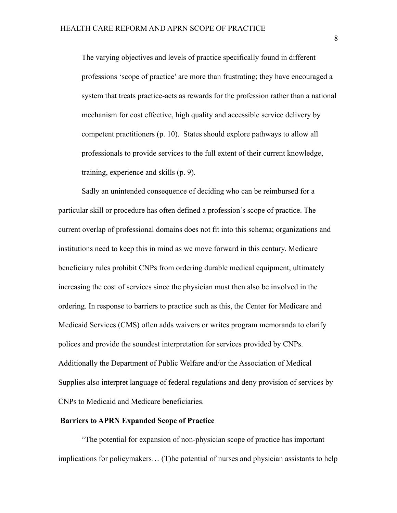The varying objectives and levels of practice specifically found in different professions 'scope of practice' are more than frustrating; they have encouraged a system that treats practice-acts as rewards for the profession rather than a national mechanism for cost effective, high quality and accessible service delivery by competent practitioners (p. 10). States should explore pathways to allow all professionals to provide services to the full extent of their current knowledge, training, experience and skills (p. 9).

Sadly an unintended consequence of deciding who can be reimbursed for a particular skill or procedure has often defined a profession's scope of practice. The current overlap of professional domains does not fit into this schema; organizations and institutions need to keep this in mind as we move forward in this century. Medicare beneficiary rules prohibit CNPs from ordering durable medical equipment, ultimately increasing the cost of services since the physician must then also be involved in the ordering. In response to barriers to practice such as this, the Center for Medicare and Medicaid Services (CMS) often adds waivers or writes program memoranda to clarify polices and provide the soundest interpretation for services provided by CNPs. Additionally the Department of Public Welfare and/or the Association of Medical Supplies also interpret language of federal regulations and deny provision of services by CNPs to Medicaid and Medicare beneficiaries.

#### **Barriers to APRN Expanded Scope of Practice**

"The potential for expansion of non-physician scope of practice has important implications for policymakers… (T)he potential of nurses and physician assistants to help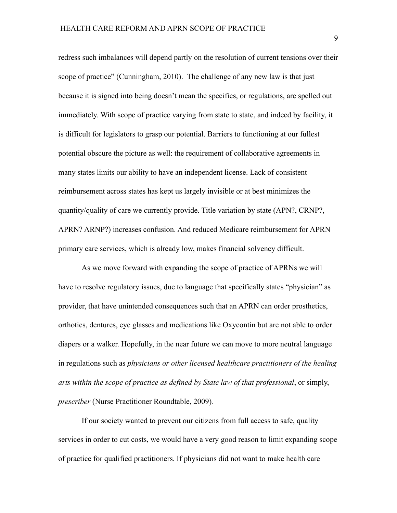redress such imbalances will depend partly on the resolution of current tensions over their scope of practice" (Cunningham, 2010). The challenge of any new law is that just because it is signed into being doesn't mean the specifics, or regulations, are spelled out immediately. With scope of practice varying from state to state, and indeed by facility, it is difficult for legislators to grasp our potential. Barriers to functioning at our fullest potential obscure the picture as well: the requirement of collaborative agreements in many states limits our ability to have an independent license. Lack of consistent reimbursement across states has kept us largely invisible or at best minimizes the quantity/quality of care we currently provide. Title variation by state (APN?, CRNP?, APRN? ARNP?) increases confusion. And reduced Medicare reimbursement for APRN primary care services, which is already low, makes financial solvency difficult.

As we move forward with expanding the scope of practice of APRNs we will have to resolve regulatory issues, due to language that specifically states "physician" as provider, that have unintended consequences such that an APRN can order prosthetics, orthotics, dentures, eye glasses and medications like Oxycontin but are not able to order diapers or a walker. Hopefully, in the near future we can move to more neutral language in regulations such as *physicians or other licensed healthcare practitioners of the healing arts within the scope of practice as defined by State law of that professional*, or simply, *prescriber* (Nurse Practitioner Roundtable, 2009)*.* 

If our society wanted to prevent our citizens from full access to safe, quality services in order to cut costs, we would have a very good reason to limit expanding scope of practice for qualified practitioners. If physicians did not want to make health care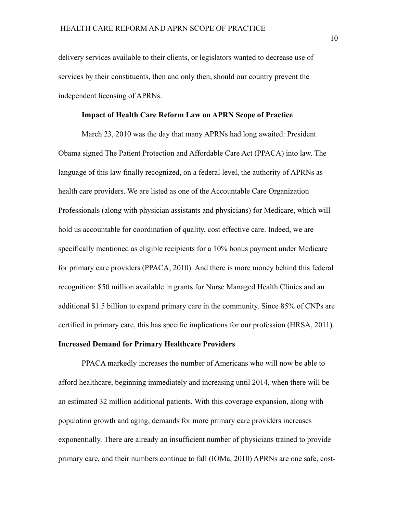delivery services available to their clients, or legislators wanted to decrease use of services by their constituents, then and only then, should our country prevent the independent licensing of APRNs.

## **Impact of Health Care Reform Law on APRN Scope of Practice**

March 23, 2010 was the day that many APRNs had long awaited: President Obama signed The Patient Protection and Affordable Care Act (PPACA) into law. The language of this law finally recognized, on a federal level, the authority of APRNs as health care providers. We are listed as one of the Accountable Care Organization Professionals (along with physician assistants and physicians) for Medicare, which will hold us accountable for coordination of quality, cost effective care. Indeed, we are specifically mentioned as eligible recipients for a 10% bonus payment under Medicare for primary care providers (PPACA, 2010). And there is more money behind this federal recognition: \$50 million available in grants for Nurse Managed Health Clinics and an additional \$1.5 billion to expand primary care in the community. Since 85% of CNPs are certified in primary care, this has specific implications for our profession (HRSA, 2011).

## **Increased Demand for Primary Healthcare Providers**

PPACA markedly increases the number of Americans who will now be able to afford healthcare, beginning immediately and increasing until 2014, when there will be an estimated 32 million additional patients. With this coverage expansion, along with population growth and aging, demands for more primary care providers increases exponentially. There are already an insufficient number of physicians trained to provide primary care, and their numbers continue to fall (IOMa, 2010) APRNs are one safe, cost-

10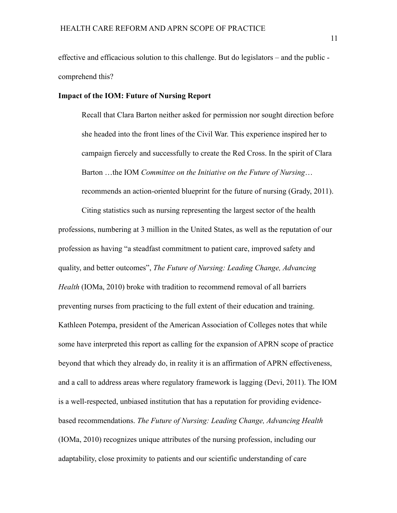effective and efficacious solution to this challenge. But do legislators – and the public comprehend this?

## **Impact of the IOM: Future of Nursing Report**

Recall that Clara Barton neither asked for permission nor sought direction before she headed into the front lines of the Civil War. This experience inspired her to campaign fiercely and successfully to create the Red Cross. In the spirit of Clara Barton …the IOM *Committee on the Initiative on the Future of Nursing*… recommends an action-oriented blueprint for the future of nursing (Grady, 2011).

Citing statistics such as nursing representing the largest sector of the health professions, numbering at 3 million in the United States, as well as the reputation of our profession as having "a steadfast commitment to patient care, improved safety and quality, and better outcomes", *The Future of Nursing: Leading Change, Advancing Health* (IOMa, 2010) broke with tradition to recommend removal of all barriers preventing nurses from practicing to the full extent of their education and training. Kathleen Potempa, president of the American Association of Colleges notes that while some have interpreted this report as calling for the expansion of APRN scope of practice beyond that which they already do, in reality it is an affirmation of APRN effectiveness, and a call to address areas where regulatory framework is lagging (Devi, 2011). The IOM is a well-respected, unbiased institution that has a reputation for providing evidencebased recommendations. *The Future of Nursing: Leading Change, Advancing Health* (IOMa, 2010) recognizes unique attributes of the nursing profession, including our adaptability, close proximity to patients and our scientific understanding of care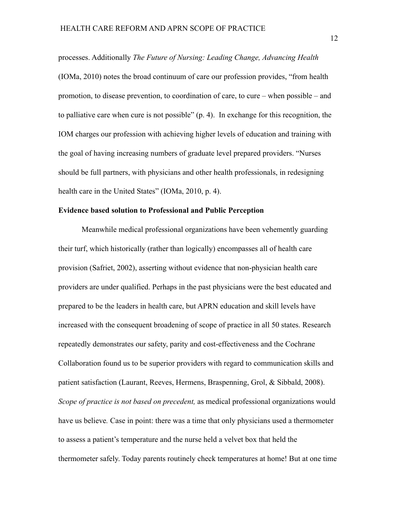processes. Additionally *The Future of Nursing: Leading Change, Advancing Health* (IOMa, 2010) notes the broad continuum of care our profession provides, "from health promotion, to disease prevention, to coordination of care, to cure – when possible – and to palliative care when cure is not possible" (p. 4). In exchange for this recognition, the IOM charges our profession with achieving higher levels of education and training with the goal of having increasing numbers of graduate level prepared providers. "Nurses should be full partners, with physicians and other health professionals, in redesigning health care in the United States" (IOMa, 2010, p. 4).

## **Evidence based solution to Professional and Public Perception**

Meanwhile medical professional organizations have been vehemently guarding their turf, which historically (rather than logically) encompasses all of health care provision (Safriet, 2002), asserting without evidence that non-physician health care providers are under qualified. Perhaps in the past physicians were the best educated and prepared to be the leaders in health care, but APRN education and skill levels have increased with the consequent broadening of scope of practice in all 50 states. Research repeatedly demonstrates our safety, parity and cost-effectiveness and the Cochrane Collaboration found us to be superior providers with regard to communication skills and patient satisfaction (Laurant, Reeves, Hermens, Braspenning, Grol, & Sibbald, 2008). *Scope of practice is not based on precedent,* as medical professional organizations would have us believe*.* Case in point: there was a time that only physicians used a thermometer to assess a patient's temperature and the nurse held a velvet box that held the thermometer safely. Today parents routinely check temperatures at home! But at one time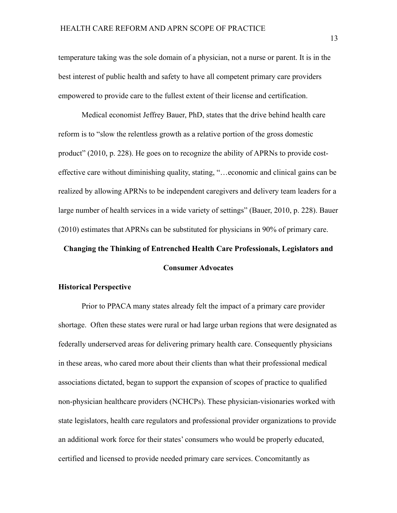temperature taking was the sole domain of a physician, not a nurse or parent. It is in the best interest of public health and safety to have all competent primary care providers empowered to provide care to the fullest extent of their license and certification.

Medical economist Jeffrey Bauer, PhD, states that the drive behind health care reform is to "slow the relentless growth as a relative portion of the gross domestic product" (2010, p. 228). He goes on to recognize the ability of APRNs to provide costeffective care without diminishing quality, stating, "…economic and clinical gains can be realized by allowing APRNs to be independent caregivers and delivery team leaders for a large number of health services in a wide variety of settings" (Bauer, 2010, p. 228). Bauer (2010) estimates that APRNs can be substituted for physicians in 90% of primary care.

# **Changing the Thinking of Entrenched Health Care Professionals, Legislators and**

## **Consumer Advocates**

#### **Historical Perspective**

 Prior to PPACA many states already felt the impact of a primary care provider shortage. Often these states were rural or had large urban regions that were designated as federally underserved areas for delivering primary health care. Consequently physicians in these areas, who cared more about their clients than what their professional medical associations dictated, began to support the expansion of scopes of practice to qualified non-physician healthcare providers (NCHCPs). These physician-visionaries worked with state legislators, health care regulators and professional provider organizations to provide an additional work force for their states' consumers who would be properly educated, certified and licensed to provide needed primary care services. Concomitantly as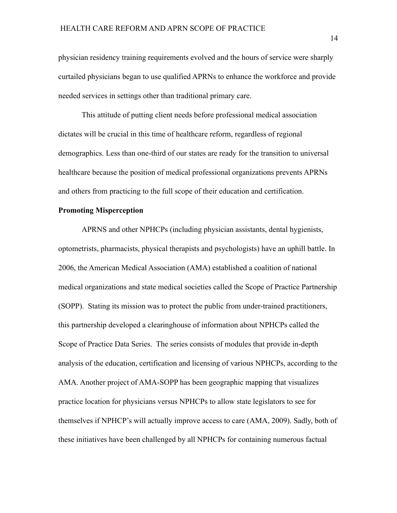physician residency training requirements evolved and the hours of service were sharply curtailed physicians began to use qualified APRNs to enhance the workforce and provide needed services in settings other than traditional primary care.

This attitude of putting client needs before professional medical association dictates will be crucial in this time of healthcare reform, regardless of regional demographics. Less than one-third of our states are ready for the transition to universal healthcare because the position of medical professional organizations prevents APRNs and others from practicing to the full scope of their education and certification.

## **Promoting Misperception**

APRNS and other NPHCPs (including physician assistants, dental hygienists, optometrists, pharmacists, physical therapists and psychologists) have an uphill battle. In 2006, the American Medical Association (AMA) established a coalition of national medical organizations and state medical societies called the Scope of Practice Partnership (SOPP). Stating its mission was to protect the public from under-trained practitioners, this partnership developed a clearinghouse of information about NPHCPs called the Scope of Practice Data Series. The series consists of modules that provide in-depth analysis of the education, certification and licensing of various NPHCPs, according to the AMA. Another project of AMA-SOPP has been geographic mapping that visualizes practice location for physicians versus NPHCPs to allow state legislators to see for themselves if NPHCP's will actually improve access to care (AMA, 2009). Sadly, both of these initiatives have been challenged by all NPHCPs for containing numerous factual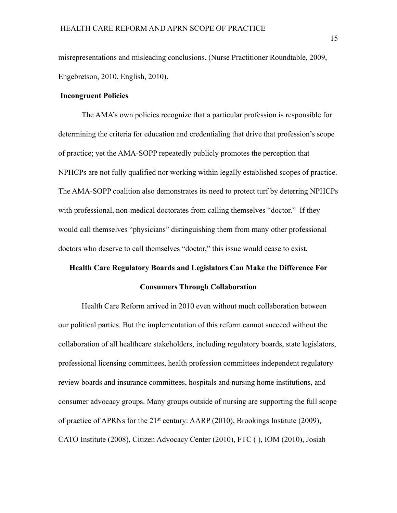misrepresentations and misleading conclusions. (Nurse Practitioner Roundtable, 2009, Engebretson, 2010, English, 2010).

## **Incongruent Policies**

The AMA's own policies recognize that a particular profession is responsible for determining the criteria for education and credentialing that drive that profession's scope of practice; yet the AMA-SOPP repeatedly publicly promotes the perception that NPHCPs are not fully qualified nor working within legally established scopes of practice. The AMA-SOPP coalition also demonstrates its need to protect turf by deterring NPHCPs with professional, non-medical doctorates from calling themselves "doctor." If they would call themselves "physicians" distinguishing them from many other professional doctors who deserve to call themselves "doctor," this issue would cease to exist.

#### **Health Care Regulatory Boards and Legislators Can Make the Difference For**

## **Consumers Through Collaboration**

Health Care Reform arrived in 2010 even without much collaboration between our political parties. But the implementation of this reform cannot succeed without the collaboration of all healthcare stakeholders, including regulatory boards, state legislators, professional licensing committees, health profession committees independent regulatory review boards and insurance committees, hospitals and nursing home institutions, and consumer advocacy groups. Many groups outside of nursing are supporting the full scope of practice of APRNs for the 21st century: AARP (2010), Brookings Institute (2009), CATO Institute (2008), Citizen Advocacy Center (2010), FTC ( ), IOM (2010), Josiah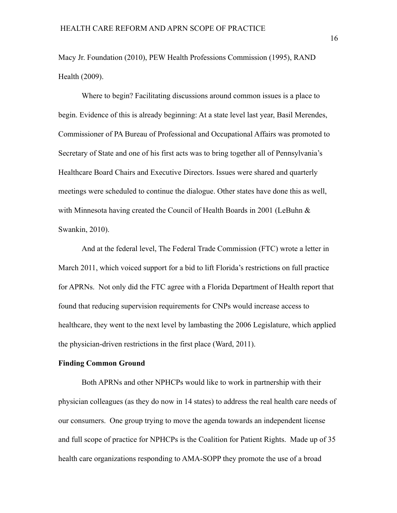Macy Jr. Foundation (2010), PEW Health Professions Commission (1995), RAND Health (2009).

Where to begin? Facilitating discussions around common issues is a place to begin. Evidence of this is already beginning: At a state level last year, Basil Merendes, Commissioner of PA Bureau of Professional and Occupational Affairs was promoted to Secretary of State and one of his first acts was to bring together all of Pennsylvania's Healthcare Board Chairs and Executive Directors. Issues were shared and quarterly meetings were scheduled to continue the dialogue. Other states have done this as well, with Minnesota having created the Council of Health Boards in 2001 (LeBuhn & Swankin, 2010).

And at the federal level, The Federal Trade Commission (FTC) wrote a letter in March 2011, which voiced support for a bid to lift Florida's restrictions on full practice for APRNs. Not only did the FTC agree with a Florida Department of Health report that found that reducing supervision requirements for CNPs would increase access to healthcare, they went to the next level by lambasting the 2006 Legislature, which applied the physician-driven restrictions in the first place (Ward, 2011).

## **Finding Common Ground**

Both APRNs and other NPHCPs would like to work in partnership with their physician colleagues (as they do now in 14 states) to address the real health care needs of our consumers. One group trying to move the agenda towards an independent license and full scope of practice for NPHCPs is the Coalition for Patient Rights. Made up of 35 health care organizations responding to AMA-SOPP they promote the use of a broad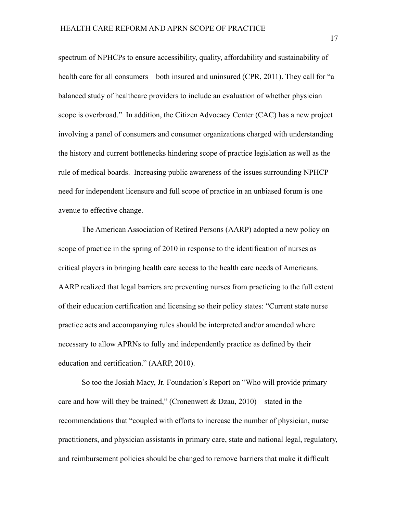spectrum of NPHCPs to ensure accessibility, quality, affordability and sustainability of health care for all consumers – both insured and uninsured (CPR, 2011). They call for "a balanced study of healthcare providers to include an evaluation of whether physician scope is overbroad." In addition, the Citizen Advocacy Center (CAC) has a new project involving a panel of consumers and consumer organizations charged with understanding the history and current bottlenecks hindering scope of practice legislation as well as the rule of medical boards. Increasing public awareness of the issues surrounding NPHCP need for independent licensure and full scope of practice in an unbiased forum is one avenue to effective change.

The American Association of Retired Persons (AARP) adopted a new policy on scope of practice in the spring of 2010 in response to the identification of nurses as critical players in bringing health care access to the health care needs of Americans. AARP realized that legal barriers are preventing nurses from practicing to the full extent of their education certification and licensing so their policy states: "Current state nurse practice acts and accompanying rules should be interpreted and/or amended where necessary to allow APRNs to fully and independently practice as defined by their education and certification." (AARP, 2010).

So too the Josiah Macy, Jr. Foundation's Report on "Who will provide primary care and how will they be trained," (Cronenwett & Dzau,  $2010$ ) – stated in the recommendations that "coupled with efforts to increase the number of physician, nurse practitioners, and physician assistants in primary care, state and national legal, regulatory, and reimbursement policies should be changed to remove barriers that make it difficult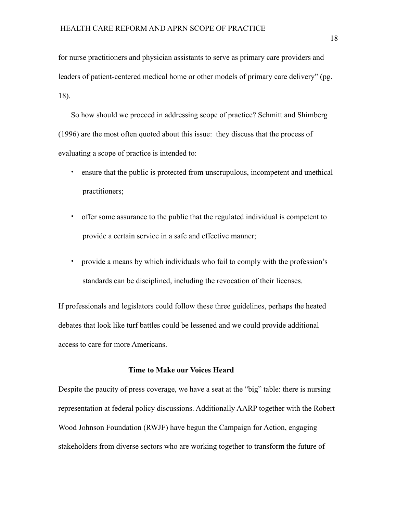for nurse practitioners and physician assistants to serve as primary care providers and leaders of patient-centered medical home or other models of primary care delivery" (pg. 18).

So how should we proceed in addressing scope of practice? Schmitt and Shimberg (1996) are the most often quoted about this issue: they discuss that the process of evaluating a scope of practice is intended to:

- ensure that the public is protected from unscrupulous, incompetent and unethical practitioners;
- offer some assurance to the public that the regulated individual is competent to provide a certain service in a safe and effective manner;
- provide a means by which individuals who fail to comply with the profession's standards can be disciplined, including the revocation of their licenses.

If professionals and legislators could follow these three guidelines, perhaps the heated debates that look like turf battles could be lessened and we could provide additional access to care for more Americans.

#### **Time to Make our Voices Heard**

Despite the paucity of press coverage, we have a seat at the "big" table: there is nursing representation at federal policy discussions. Additionally AARP together with the Robert Wood Johnson Foundation (RWJF) have begun the Campaign for Action, engaging stakeholders from diverse sectors who are working together to transform the future of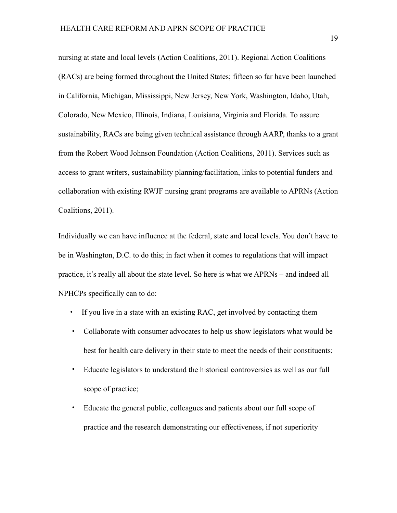nursing at state and local levels (Action Coalitions, 2011). Regional Action Coalitions (RACs) are being formed throughout the United States; fifteen so far have been launched in California, Michigan, Mississippi, New Jersey, New York, Washington, Idaho, Utah, Colorado, New Mexico, Illinois, Indiana, Louisiana, Virginia and Florida. To assure sustainability, RACs are being given technical assistance through AARP, thanks to a grant from the Robert Wood Johnson Foundation (Action Coalitions, 2011). Services such as access to grant writers, sustainability planning/facilitation, links to potential funders and collaboration with existing RWJF nursing grant programs are available to APRNs (Action Coalitions, 2011).

Individually we can have influence at the federal, state and local levels. You don't have to be in Washington, D.C. to do this; in fact when it comes to regulations that will impact practice, it's really all about the state level. So here is what we APRNs – and indeed all NPHCPs specifically can to do:

- If you live in a state with an existing RAC, get involved by contacting them
- Collaborate with consumer advocates to help us show legislators what would be best for health care delivery in their state to meet the needs of their constituents;
- Educate legislators to understand the historical controversies as well as our full scope of practice;
- Educate the general public, colleagues and patients about our full scope of practice and the research demonstrating our effectiveness, if not superiority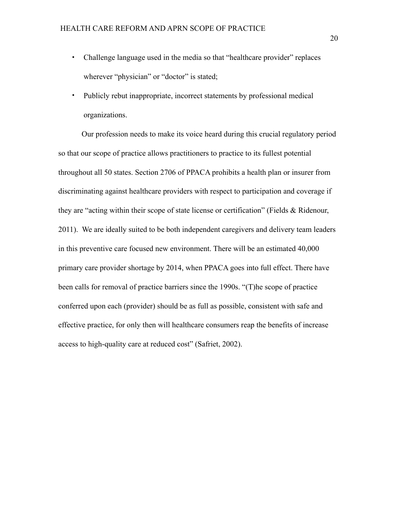- Challenge language used in the media so that "healthcare provider" replaces wherever "physician" or "doctor" is stated;
- Publicly rebut inappropriate, incorrect statements by professional medical organizations.

Our profession needs to make its voice heard during this crucial regulatory period so that our scope of practice allows practitioners to practice to its fullest potential throughout all 50 states. Section 2706 of PPACA prohibits a health plan or insurer from discriminating against healthcare providers with respect to participation and coverage if they are "acting within their scope of state license or certification" (Fields & Ridenour, 2011). We are ideally suited to be both independent caregivers and delivery team leaders in this preventive care focused new environment. There will be an estimated 40,000 primary care provider shortage by 2014, when PPACA goes into full effect. There have been calls for removal of practice barriers since the 1990s. "(T)he scope of practice conferred upon each (provider) should be as full as possible, consistent with safe and effective practice, for only then will healthcare consumers reap the benefits of increase access to high-quality care at reduced cost" (Safriet, 2002).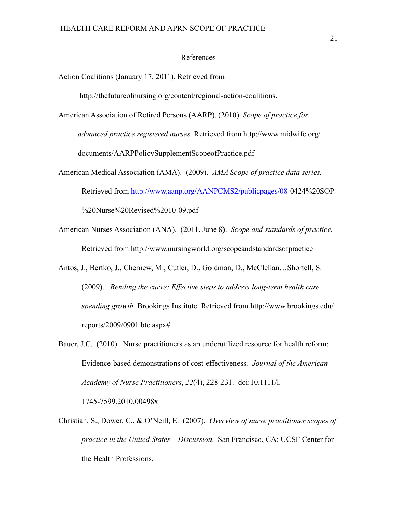#### References

Action Coalitions (January 17, 2011). Retrieved from

http://thefutureofnursing.org/content/regional-action-coalitions.

American Association of Retired Persons (AARP). (2010). *Scope of practice for advanced practice registered nurses.* Retrieved from http://www.midwife.org/ documents/AARPPolicySupplementScopeofPractice.pdf

- American Medical Association (AMA). (2009). *AMA Scope of practice data series.* Retrieved from http://www.aanp.org/AANPCMS2/publicpages/08-0424%20SOP %20Nurse%20Revised%2010-09.pdf
- American Nurses Association (ANA). (2011, June 8). *Scope and standards of practice.* Retrieved from http://www.nursingworld.org/scopeandstandardsofpractice
- Antos, J., Bertko, J., Chernew, M., Cutler, D., Goldman, D., McClellan…Shortell, S. (2009). *Bending the curve: Effective steps to address long-term health care spending growth.* Brookings Institute. Retrieved from http://www.brookings.edu/ reports/2009/0901 btc.aspx#
- Bauer, J.C. (2010). Nurse practitioners as an underutilized resource for health reform: Evidence-based demonstrations of cost-effectiveness. *Journal of the American Academy of Nurse Practitioners*, *22*(4), 228-231. doi:10.1111/l.

1745-7599.2010.00498x

Christian, S., Dower, C., & O'Neill, E. (2007). *Overview of nurse practitioner scopes of practice in the United States – Discussion.* San Francisco, CA: UCSF Center for the Health Professions.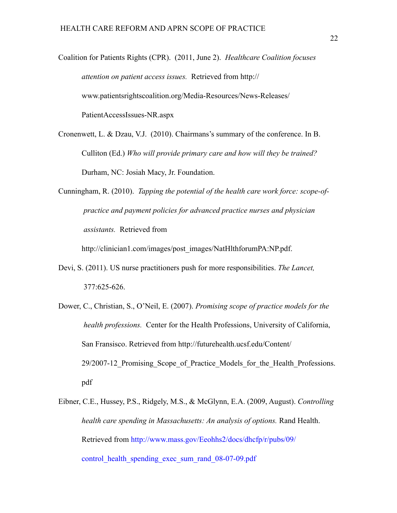Coalition for Patients Rights (CPR). (2011, June 2). *Healthcare Coalition focuses attention on patient access issues.* Retrieved from http:// www.patientsrightscoalition.org/Media-Resources/News-Releases/ PatientAccessIssues-NR.aspx

Cronenwett, L. & Dzau, V.J. (2010). Chairmans's summary of the conference. In B. Culliton (Ed.) *Who will provide primary care and how will they be trained?* Durham, NC: Josiah Macy, Jr. Foundation.

Cunningham, R. (2010). *Tapping the potential of the health care work force: scope-of practice and payment policies for advanced practice nurses and physician assistants.* Retrieved from

http://clinician1.com/images/post\_images/NatHlthforumPA:NP.pdf.

- Devi, S. (2011). US nurse practitioners push for more responsibilities. *The Lancet,* 377:625-626.
- Dower, C., Christian, S., O'Neil, E. (2007). *Promising scope of practice models for the health professions.* Center for the Health Professions, University of California, San Fransisco. Retrieved from http://futurehealth.ucsf.edu/Content/ 29/2007-12 Promising Scope of Practice Models for the Health Professions. pdf
- Eibner, C.E., Hussey, P.S., Ridgely, M.S., & McGlynn, E.A. (2009, August). *Controlling health care spending in Massachusetts: An analysis of options.* Rand Health. Retrieved from http://www.mass.gov/Eeohhs2/docs/dhcfp/r/pubs/09/ control health spending exec sum rand 08-07-09.pdf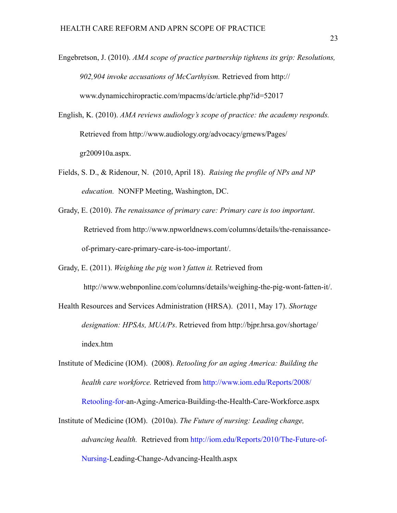- Engebretson, J. (2010). *AMA scope of practice partnership tightens its grip: Resolutions, 902,904 invoke accusations of McCarthyism.* Retrieved from http:// www.dynamicchiropractic.com/mpacms/dc/article.php?id=52017
- English, K. (2010). *AMA reviews audiology's scope of practice: the academy responds.*  Retrieved from http://www.audiology.org/advocacy/grnews/Pages/ gr200910a.aspx.
- Fields, S. D., & Ridenour, N. (2010, April 18). *Raising the profile of NPs and NP education.* NONFP Meeting, Washington, DC.
- Grady, E. (2010). *The renaissance of primary care: Primary care is too important*. Retrieved from http://www.npworldnews.com/columns/details/the-renaissanceof-primary-care-primary-care-is-too-important/.

Grady, E. (2011). *Weighing the pig won't fatten it.* Retrieved from

http://www.webnponline.com/columns/details/weighing-the-pig-wont-fatten-it/.

Health Resources and Services Administration (HRSA). (2011, May 17). *Shortage designation: HPSAs, MUA/Ps*. Retrieved from http://bjpr.hrsa.gov/shortage/ index.htm

Institute of Medicine (IOM). (2008). *Retooling for an aging America: Building the health care workforce.* Retrieved from http://www.iom.edu/Reports/2008/ Retooling-for-an-Aging-America-Building-the-Health-Care-Workforce.aspx

Institute of Medicine (IOM). (2010a). *The Future of nursing: Leading change, advancing health.* Retrieved from http://iom.edu/Reports/2010/The-Future-of-Nursing-Leading-Change-Advancing-Health.aspx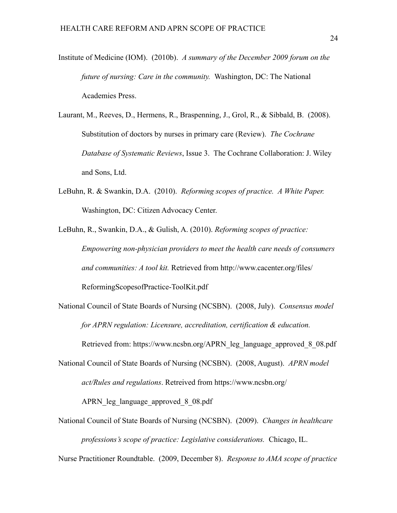- Institute of Medicine (IOM). (2010b). *A summary of the December 2009 forum on the future of nursing: Care in the community.* Washington, DC: The National Academies Press.
- Laurant, M., Reeves, D., Hermens, R., Braspenning, J., Grol, R., & Sibbald, B. (2008). Substitution of doctors by nurses in primary care (Review). *The Cochrane Database of Systematic Reviews*, Issue 3. The Cochrane Collaboration: J. Wiley and Sons, Ltd.
- LeBuhn, R. & Swankin, D.A. (2010). *Reforming scopes of practice. A White Paper.* Washington, DC: Citizen Advocacy Center.

LeBuhn, R., Swankin, D.A., & Gulish, A. (2010). *Reforming scopes of practice: Empowering non-physician providers to meet the health care needs of consumers and communities: A tool kit.* Retrieved from http://www.cacenter.org/files/ ReformingScopesofPractice-ToolKit.pdf

National Council of State Boards of Nursing (NCSBN). (2008, July). *Consensus model for APRN regulation: Licensure, accreditation, certification & education.*

Retrieved from: https://www.ncsbn.org/APRN\_leg\_language\_approved\_8\_08.pdf

- National Council of State Boards of Nursing (NCSBN). (2008, August). *APRN model act/Rules and regulations*. Retreived from https://www.ncsbn.org/ APRN\_leg\_language\_approved\_8\_08.pdf
- National Council of State Boards of Nursing (NCSBN). (2009). *Changes in healthcare professions's scope of practice: Legislative considerations.* Chicago, IL.

Nurse Practitioner Roundtable. (2009, December 8). *Response to AMA scope of practice*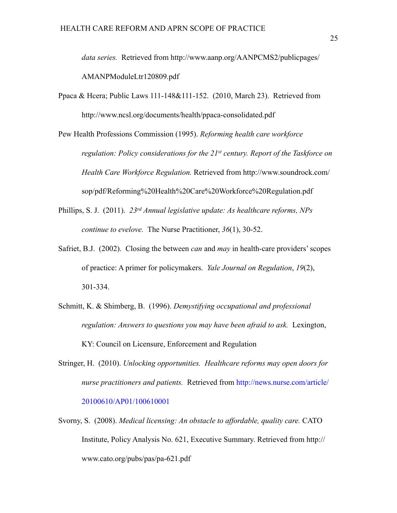*data series.* Retrieved from http://www.aanp.org/AANPCMS2/publicpages/ AMANPModuleLtr120809.pdf

Ppaca & Hcera; Public Laws 111-148&111-152. (2010, March 23). Retrieved from http://www.ncsl.org/documents/health/ppaca-consolidated.pdf

Pew Health Professions Commission (1995). *Reforming health care workforce regulation: Policy considerations for the 21st century. Report of the Taskforce on Health Care Workforce Regulation.* Retrieved from http://www.soundrock.com/ sop/pdf/Reforming%20Health%20Care%20Workforce%20Regulation.pdf

- Phillips, S. J. (2011). *23rd Annual legislative update: As healthcare reforms, NPs continue to evelove.* The Nurse Practitioner, *36*(1), 30-52.
- Safriet, B.J. (2002). Closing the between *can* and *may* in health-care providers' scopes of practice: A primer for policymakers. *Yale Journal on Regulation*, *19*(2), 301-334.
- Schmitt, K. & Shimberg, B. (1996). *Demystifying occupational and professional regulation: Answers to questions you may have been afraid to ask.* Lexington, KY: Council on Licensure, Enforcement and Regulation
- Stringer, H. (2010). *Unlocking opportunities. Healthcare reforms may open doors for nurse practitioners and patients.* Retrieved from http://news.nurse.com/article/ 20100610/AP01/100610001
- Svorny, S. (2008). *Medical licensing: An obstacle to affordable, quality care.* CATO Institute, Policy Analysis No. 621, Executive Summary. Retrieved from http:// www.cato.org/pubs/pas/pa-621.pdf